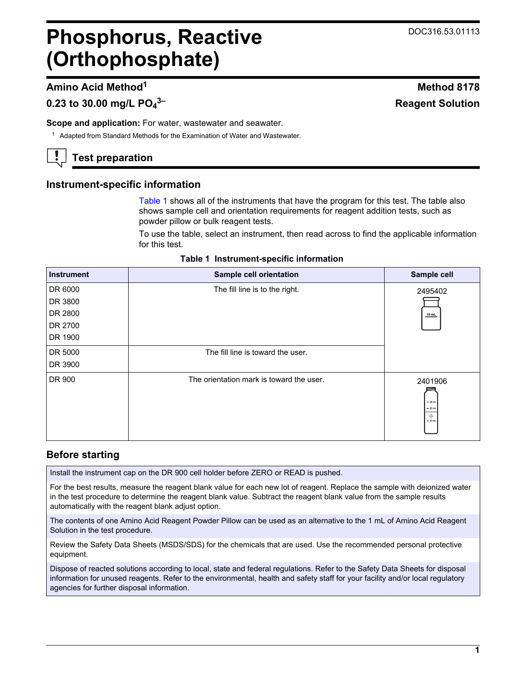**3– Reagent Solution**

# **Phosphorus, Reactive (Orthophosphate)**

# **Amino Acid Method<sup>1</sup> Method 8178**

# **0.23 to 30.00 mg/L PO<sup>4</sup>**

**Scope and application:** For water, wastewater and seawater.

<sup>1</sup> Adapted from Standard Methods for the Examination of Water and Wastewater.

# **Test preparation**

## **Instrument-specific information**

[Table 1](#page-0-0) shows all of the instruments that have the program for this test. The table also shows sample cell and orientation requirements for reagent addition tests, such as powder pillow or bulk reagent tests.

To use the table, select an instrument, then read across to find the applicable information for this test.

<span id="page-0-1"></span><span id="page-0-0"></span>

| <b>Instrument</b> | Sample cell orientation                  | Sample cell                                        |
|-------------------|------------------------------------------|----------------------------------------------------|
| DR 6000           | The fill line is to the right.           | 2495402                                            |
| DR 3800           |                                          |                                                    |
| DR 2800           |                                          | $10$ mL                                            |
| DR 2700           |                                          |                                                    |
| DR 1900           |                                          |                                                    |
| DR 5000           | The fill line is toward the user.        |                                                    |
| DR 3900           |                                          |                                                    |
| DR 900            | The orientation mark is toward the user. | 2401906<br>$-25$ mL<br>$= 20$ mL<br>۰<br>$= 10$ mL |

## **Table 1 Instrument-specific information**

# **Before starting**

Install the instrument cap on the DR 900 cell holder before ZERO or READ is pushed.

For the best results, measure the reagent blank value for each new lot of reagent. Replace the sample with deionized water in the test procedure to determine the reagent blank value. Subtract the reagent blank value from the sample results automatically with the reagent blank adjust option.

The contents of one Amino Acid Reagent Powder Pillow can be used as an alternative to the 1 mL of Amino Acid Reagent Solution in the test procedure.

Review the Safety Data Sheets (MSDS/SDS) for the chemicals that are used. Use the recommended personal protective equipment.

Dispose of reacted solutions according to local, state and federal regulations. Refer to the Safety Data Sheets for disposal information for unused reagents. Refer to the environmental, health and safety staff for your facility and/or local regulatory agencies for further disposal information.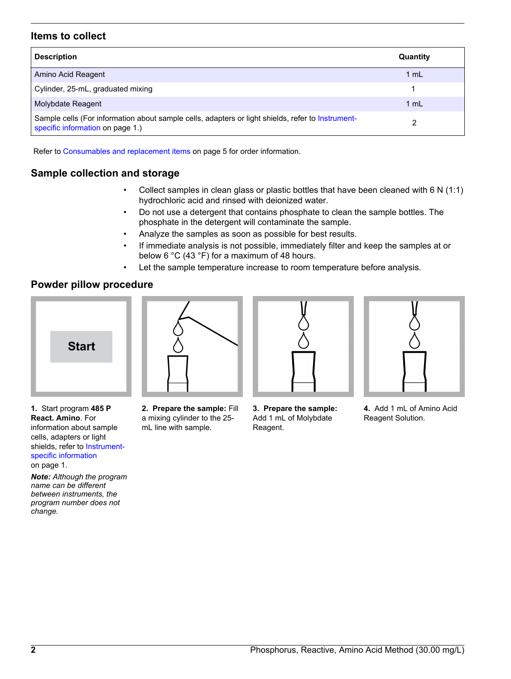## **Items to collect**

| <b>Description</b>                                                                                                                    | Quantity |
|---------------------------------------------------------------------------------------------------------------------------------------|----------|
| Amino Acid Reagent                                                                                                                    | 1 mL     |
| Cylinder, 25-mL, graduated mixing                                                                                                     |          |
| Molybdate Reagent                                                                                                                     | 1 mL     |
| Sample cells (For information about sample cells, adapters or light shields, refer to Instrument-<br>specific information on page 1.) |          |

Refer to [Consumables and replacement items](#page-4-0) on page 5 for order information.

## **Sample collection and storage**

- Collect samples in clean glass or plastic bottles that have been cleaned with  $6 \text{ N } (1:1)$ hydrochloric acid and rinsed with deionized water.
- Do not use a detergent that contains phosphate to clean the sample bottles. The phosphate in the detergent will contaminate the sample.
- Analyze the samples as soon as possible for best results.
- If immediate analysis is not possible, immediately filter and keep the samples at or below 6 °C (43 °F) for a maximum of 48 hours.
- Let the sample temperature increase to room temperature before analysis.

## **Powder pillow procedure**







**1.** Start program **485 P React. Amino**. For information about sample cells, adapters or light shields, refer to [Instrument](#page-0-1)[specific information](#page-0-1) on page 1.

*Note: Although the program name can be different between instruments, the program number does not change.*

- **2. Prepare the sample:** Fill a mixing cylinder to the 25 mL line with sample.
- **3. Prepare the sample:** Add 1 mL of Molybdate Reagent.
- **4.** Add 1 mL of Amino Acid Reagent Solution.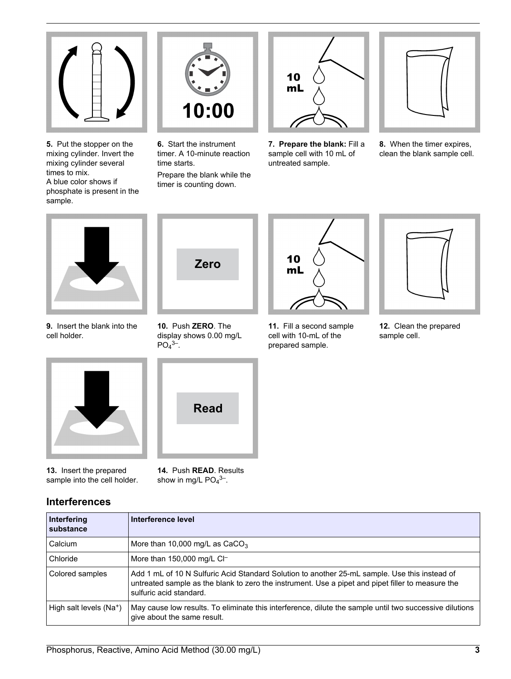

**5.** Put the stopper on the mixing cylinder. Invert the mixing cylinder several times to mix. A blue color shows if phosphate is present in the sample.



**6.** Start the instrument timer. A 10-minute reaction time starts.

Prepare the blank while the timer is counting down.



**7. Prepare the blank:** Fill a sample cell with 10 mL of untreated sample.



**8.** When the timer expires, clean the blank sample cell.



**9.** Insert the blank into the cell holder.



**10.** Push **ZERO**. The display shows 0.00 mg/L  $PO<sub>4</sub>$ <sup>3–</sup>.



prepared sample.



**12.** Clean the prepared sample cell.



**13.** Insert the prepared sample into the cell holder.

## **Interferences**



**14.** Push **READ**. Results show in mg/L  $PO<sub>4</sub><sup>3–</sup>$ .

| Interfering<br>substance            | Interference level                                                                                                                                                                                                            |
|-------------------------------------|-------------------------------------------------------------------------------------------------------------------------------------------------------------------------------------------------------------------------------|
| Calcium                             | More than 10,000 mg/L as $CaCO3$                                                                                                                                                                                              |
| Chloride                            | More than $150,000$ mg/L CI-                                                                                                                                                                                                  |
| Colored samples                     | Add 1 mL of 10 N Sulfuric Acid Standard Solution to another 25-mL sample. Use this instead of<br>untreated sample as the blank to zero the instrument. Use a pipet and pipet filler to measure the<br>sulfuric acid standard. |
| High salt levels (Na <sup>+</sup> ) | May cause low results. To eliminate this interference, dilute the sample until two successive dilutions<br>give about the same result.                                                                                        |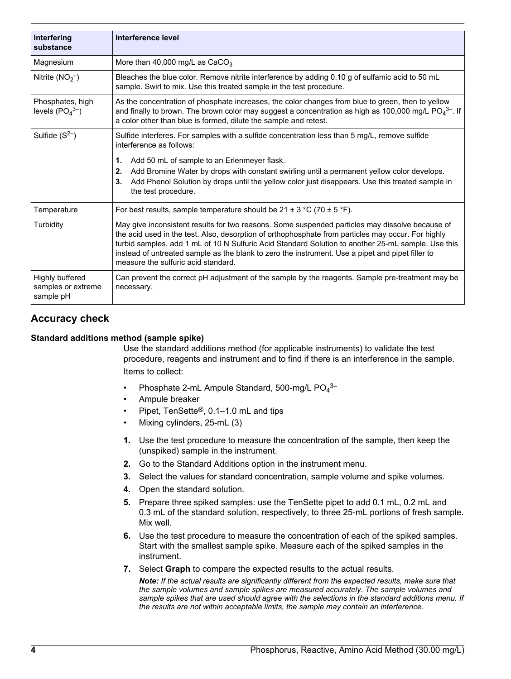| Interfering<br>substance                           | Interference level                                                                                                                                                                                                                                                                                                                                                                                                                                     |
|----------------------------------------------------|--------------------------------------------------------------------------------------------------------------------------------------------------------------------------------------------------------------------------------------------------------------------------------------------------------------------------------------------------------------------------------------------------------------------------------------------------------|
|                                                    |                                                                                                                                                                                                                                                                                                                                                                                                                                                        |
| Magnesium                                          | More than 40,000 mg/L as $CaCO3$                                                                                                                                                                                                                                                                                                                                                                                                                       |
| Nitrite $(NO2-)$                                   | Bleaches the blue color. Remove nitrite interference by adding 0.10 g of sulfamic acid to 50 mL<br>sample. Swirl to mix. Use this treated sample in the test procedure.                                                                                                                                                                                                                                                                                |
| Phosphates, high<br>levels $(PO43–)$               | As the concentration of phosphate increases, the color changes from blue to green, then to yellow<br>and finally to brown. The brown color may suggest a concentration as high as 100,000 mg/L $PO_4^{3-}$ . If<br>a color other than blue is formed, dilute the sample and retest.                                                                                                                                                                    |
| Sulfide $(S2)$                                     | Sulfide interferes. For samples with a sulfide concentration less than 5 mg/L, remove sulfide<br>interference as follows:                                                                                                                                                                                                                                                                                                                              |
|                                                    | Add 50 mL of sample to an Erlenmeyer flask.<br>1.<br>Add Bromine Water by drops with constant swirling until a permanent yellow color develops.<br>2.<br>Add Phenol Solution by drops until the yellow color just disappears. Use this treated sample in<br>3.<br>the test procedure.                                                                                                                                                                  |
| Temperature                                        | For best results, sample temperature should be $21 \pm 3$ °C (70 $\pm$ 5 °F).                                                                                                                                                                                                                                                                                                                                                                          |
| Turbidity                                          | May give inconsistent results for two reasons. Some suspended particles may dissolve because of<br>the acid used in the test. Also, desorption of orthophosphate from particles may occur. For highly<br>turbid samples, add 1 mL of 10 N Sulfuric Acid Standard Solution to another 25-mL sample. Use this<br>instead of untreated sample as the blank to zero the instrument. Use a pipet and pipet filler to<br>measure the sulfuric acid standard. |
| Highly buffered<br>samples or extreme<br>sample pH | Can prevent the correct pH adjustment of the sample by the reagents. Sample pre-treatment may be<br>necessary.                                                                                                                                                                                                                                                                                                                                         |

## **Accuracy check**

#### **Standard additions method (sample spike)**

Use the standard additions method (for applicable instruments) to validate the test procedure, reagents and instrument and to find if there is an interference in the sample. Items to collect:

- Phosphate 2-mL Ampule Standard, 500-mg/L  $PO<sub>4</sub>3-$
- Ampule breaker
- Pipet, TenSette®, 0.1–1.0 mL and tips
- Mixing cylinders, 25-mL (3)
- **1.** Use the test procedure to measure the concentration of the sample, then keep the (unspiked) sample in the instrument.
- **2.** Go to the Standard Additions option in the instrument menu.
- **3.** Select the values for standard concentration, sample volume and spike volumes.
- **4.** Open the standard solution.
- **5.** Prepare three spiked samples: use the TenSette pipet to add 0.1 mL, 0.2 mL and 0.3 mL of the standard solution, respectively, to three 25-mL portions of fresh sample. Mix well.
- **6.** Use the test procedure to measure the concentration of each of the spiked samples. Start with the smallest sample spike. Measure each of the spiked samples in the instrument.
- **7.** Select **Graph** to compare the expected results to the actual results.

*Note: If the actual results are significantly different from the expected results, make sure that the sample volumes and sample spikes are measured accurately. The sample volumes and sample spikes that are used should agree with the selections in the standard additions menu. If the results are not within acceptable limits, the sample may contain an interference.*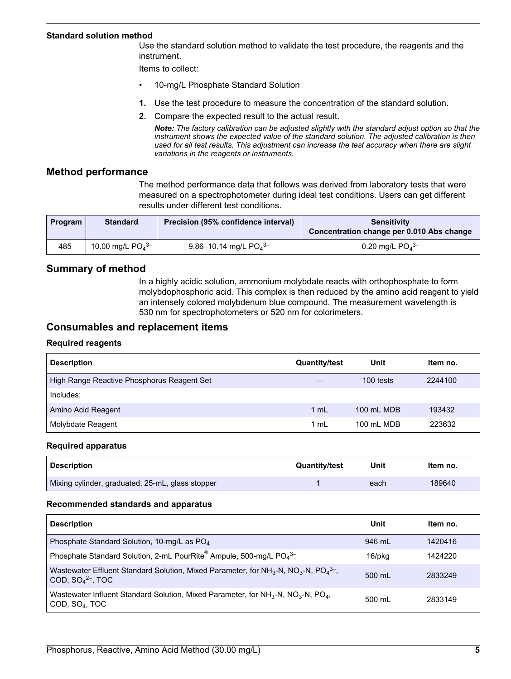#### **Standard solution method**

Use the standard solution method to validate the test procedure, the reagents and the instrument.

Items to collect:

- 10-mg/L Phosphate Standard Solution
- **1.** Use the test procedure to measure the concentration of the standard solution.
- **2.** Compare the expected result to the actual result.

*Note: The factory calibration can be adjusted slightly with the standard adjust option so that the instrument shows the expected value of the standard solution. The adjusted calibration is then used for all test results. This adjustment can increase the test accuracy when there are slight variations in the reagents or instruments.*

#### **Method performance**

The method performance data that follows was derived from laboratory tests that were measured on a spectrophotometer during ideal test conditions. Users can get different results under different test conditions.

| <b>Program</b> | <b>Standard</b>                | Precision (95% confidence interval) | Sensitivity<br>Concentration change per 0.010 Abs change |
|----------------|--------------------------------|-------------------------------------|----------------------------------------------------------|
| 485            | 10.00 mg/L $PO4$ <sup>3-</sup> | 9.86-10.14 mg/L $PO4^{3-}$          | 0.20 mg/L $PO4$ <sup>3-</sup>                            |

### **Summary of method**

In a highly acidic solution, ammonium molybdate reacts with orthophosphate to form molybdophosphoric acid. This complex is then reduced by the amino acid reagent to yield an intensely colored molybdenum blue compound. The measurement wavelength is 530 nm for spectrophotometers or 520 nm for colorimeters.

#### **Consumables and replacement items**

#### **Required reagents**

<span id="page-4-0"></span>

| <b>Description</b>                         | <b>Quantity/test</b> | Unit       | Item no. |
|--------------------------------------------|----------------------|------------|----------|
| High Range Reactive Phosphorus Reagent Set |                      | 100 tests  | 2244100  |
| Includes:                                  |                      |            |          |
| Amino Acid Reagent                         | 1 mL                 | 100 mL MDB | 193432   |
| Molybdate Reagent                          | 1 mL                 | 100 mL MDB | 223632   |

#### **Required apparatus**

| Description                                      | <b>Quantity/test</b> | Unit | Item no. |
|--------------------------------------------------|----------------------|------|----------|
| Mixing cylinder, graduated, 25-mL, glass stopper |                      | each | 189640   |

#### **Recommended standards and apparatus**

| <b>Description</b>                                                                                                                                  | Unit             | Item no. |
|-----------------------------------------------------------------------------------------------------------------------------------------------------|------------------|----------|
| Phosphate Standard Solution, 10-mg/L as PO <sub>4</sub>                                                                                             | 946 mL           | 1420416  |
| Phosphate Standard Solution, 2-mL PourRite® Ampule, 500-mg/L PO <sub>4</sub> 3-                                                                     | 16/pkg           | 1424220  |
| Wastewater Effluent Standard Solution, Mixed Parameter, for $NH_3-N$ , $NO_3-N$ , $PO_4^{3-}$ ,<br>COD, $SO42-$ , TOC                               | $500 \text{ ml}$ | 2833249  |
| Wastewater Influent Standard Solution, Mixed Parameter, for NH <sub>3</sub> -N, NO <sub>3</sub> -N, PO <sub>4</sub> ,<br>COD, SO <sub>4</sub> , TOC | 500 ml           | 2833149  |